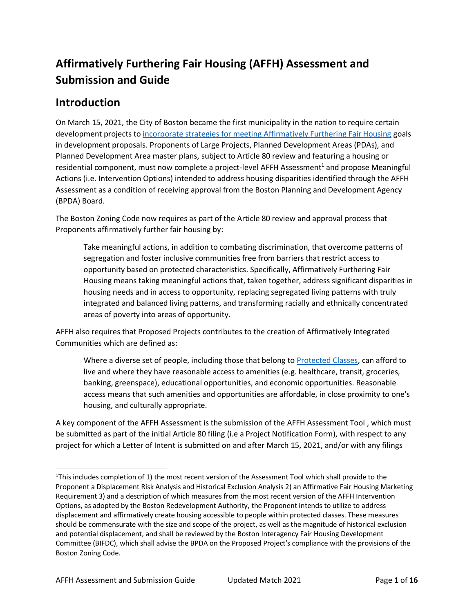# **Affirmatively Furthering Fair Housing (AFFH) Assessment and Submission and Guide**

## **Introduction**

On March 15, 2021, the City of Boston became the first municipality in the nation to require certain development projects to [incorporate strategies for meeting Affirmatively Furthering Fair Housing](http://www.bostonplans.org/housing/affirmatively-furthering-fair-housing-article-80) goals in development proposals. Proponents of Large Projects, Planned Development Areas (PDAs), and Planned Development Area master plans, subject to Article 80 review and featuring a housing or residential component, must now complete a project-level AFFH Assessment<sup>1</sup> and propose Meaningful Actions (i.e. Intervention Options) intended to address housing disparities identified through the AFFH Assessment as a condition of receiving approval from the Boston Planning and Development Agency (BPDA) Board.

The Boston Zoning Code now requires as part of the Article 80 review and approval process that Proponents affirmatively further fair housing by:

Take meaningful actions, in addition to combating discrimination, that overcome patterns of segregation and foster inclusive communities free from barriers that restrict access to opportunity based on protected characteristics. Specifically, Affirmatively Furthering Fair Housing means taking meaningful actions that, taken together, address significant disparities in housing needs and in access to opportunity, replacing segregated living patterns with truly integrated and balanced living patterns, and transforming racially and ethnically concentrated areas of poverty into areas of opportunity.

AFFH also requires that Proposed Projects contributes to the creation of Affirmatively Integrated Communities which are defined as:

Where a diverse set of people, including those that belong to [Protected Classes,](https://www.boston.gov/departments/fair-housing-and-equity/boston-fair-housing-regulations) can afford to live and where they have reasonable access to amenities (e.g. healthcare, transit, groceries, banking, greenspace), educational opportunities, and economic opportunities. Reasonable access means that such amenities and opportunities are affordable, in close proximity to one's housing, and culturally appropriate.

A key component of the AFFH Assessment is the submission of the AFFH Assessment Tool , which must be submitted as part of the initial Article 80 filing (i.e a Project Notification Form), with respect to any project for which a Letter of Intent is submitted on and after March 15, 2021, and/or with any filings

 $1$ This includes completion of 1) the most recent version of the Assessment Tool which shall provide to the Proponent a Displacement Risk Analysis and Historical Exclusion Analysis 2) an Affirmative Fair Housing Marketing Requirement 3) and a description of which measures from the most recent version of the AFFH Intervention Options, as adopted by the Boston Redevelopment Authority, the Proponent intends to utilize to address displacement and affirmatively create housing accessible to people within protected classes. These measures should be commensurate with the size and scope of the project, as well as the magnitude of historical exclusion and potential displacement, and shall be reviewed by the Boston Interagency Fair Housing Development Committee (BIFDC), which shall advise the BPDA on the Proposed Project's compliance with the provisions of the Boston Zoning Code.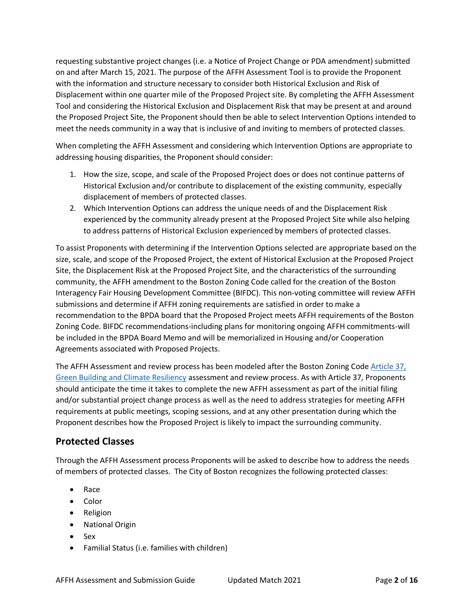requesting substantive project changes (i.e. a Notice of Project Change or PDA amendment) submitted on and after March 15, 2021. The purpose of the AFFH Assessment Tool is to provide the Proponent with the information and structure necessary to consider both Historical Exclusion and Risk of Displacement within one quarter mile of the Proposed Project site. By completing the AFFH Assessment Tool and considering the Historical Exclusion and Displacement Risk that may be present at and around the Proposed Project Site, the Proponent should then be able to select Intervention Options intended to meet the needs community in a way that is inclusive of and inviting to members of protected classes.

When completing the AFFH Assessment and considering which Intervention Options are appropriate to addressing housing disparities, the Proponent should consider:

- 1. How the size, scope, and scale of the Proposed Project does or does not continue patterns of Historical Exclusion and/or contribute to displacement of the existing community, especially displacement of members of protected classes.
- 2. Which Intervention Options can address the unique needs of and the Displacement Risk experienced by the community already present at the Proposed Project Site while also helping to address patterns of Historical Exclusion experienced by members of protected classes.

To assist Proponents with determining if the Intervention Options selected are appropriate based on the size, scale, and scope of the Proposed Project, the extent of Historical Exclusion at the Proposed Project Site, the Displacement Risk at the Proposed Project Site, and the characteristics of the surrounding community, the AFFH amendment to the Boston Zoning Code called for the creation of the Boston Interagency Fair Housing Development Committee (BIFDC). This non-voting committee will review AFFH submissions and determine if AFFH zoning requirements are satisfied in order to make a recommendation to the BPDA board that the Proposed Project meets AFFH requirements of the Boston Zoning Code. BIFDC recommendations-including plans for monitoring ongoing AFFH commitments-will be included in the BPDA Board Memo and will be memorialized in Housing and/or Cooperation Agreements associated with Proposed Projects.

The AFFH Assessment and review process has been modeled after the Boston Zoning Code Article 37, [Green Building and Climate Resiliency](http://www.bostonplans.org/planning/planning-initiatives/article-37-green-building-guidelines) assessment and review process. As with Article 37, Proponents should anticipate the time it takes to complete the new AFFH assessment as part of the initial filing and/or substantial project change process as well as the need to address strategies for meeting AFFH requirements at public meetings, scoping sessions, and at any other presentation during which the Proponent describes how the Proposed Project is likely to impact the surrounding community.

## **Protected Classes**

Through the AFFH Assessment process Proponents will be asked to describe how to address the needs of members of protected classes. The City of Boston recognizes the following protected classes:

- Race
- Color
- Religion
- National Origin
- Sex
- Familial Status (i.e. families with children)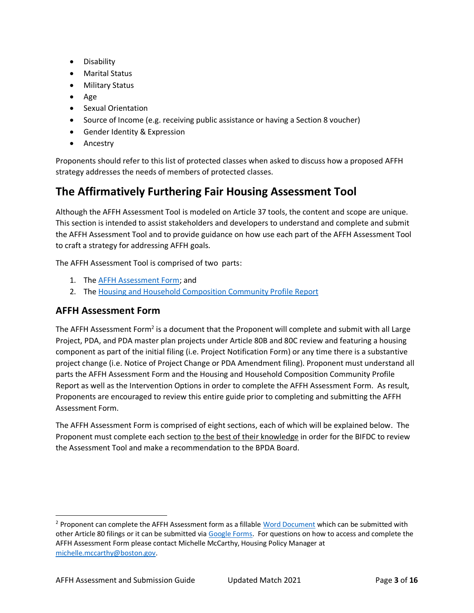- Disability
- Marital Status
- Military Status
- Age
- Sexual Orientation
- Source of Income (e.g. receiving public assistance or having a Section 8 voucher)
- Gender Identity & Expression
- Ancestry

Proponents should refer to this list of protected classes when asked to discuss how a proposed AFFH strategy addresses the needs of members of protected classes.

## **The Affirmatively Furthering Fair Housing Assessment Tool**

Although the AFFH Assessment Tool is modeled on Article 37 tools, the content and scope are unique. This section is intended to assist stakeholders and developers to understand and complete and submit the AFFH Assessment Tool and to provide guidance on how use each part of the AFFH Assessment Tool to craft a strategy for addressing AFFH goals.

The AFFH Assessment Tool is comprised of two parts:

- 1. The [AFFH Assessment Form;](http://bostonplans.org/AFFH-Assessment-Tool) and
- 2. The [Housing and Household Composition Community Profile Report](http://maps.bostonplans.org/affh/#/)

### **AFFH Assessment Form**

The AFFH Assessment Form<sup>2</sup> is a document that the Proponent will complete and submit with all Large Project, PDA, and PDA master plan projects under Article 80B and 80C review and featuring a housing component as part of the initial filing (i.e. Project Notification Form) or any time there is a substantive project change (i.e. Notice of Project Change or PDA Amendment filing). Proponent must understand all parts the AFFH Assessment Form and the Housing and Household Composition Community Profile Report as well as the Intervention Options in order to complete the AFFH Assessment Form. As result, Proponents are encouraged to review this entire guide prior to completing and submitting the AFFH Assessment Form.

The AFFH Assessment Form is comprised of eight sections, each of which will be explained below. The Proponent must complete each section to the best of their knowledge in order for the BIFDC to review the Assessment Tool and make a recommendation to the BPDA Board.

<sup>&</sup>lt;sup>2</sup> Proponent can complete the AFFH Assessment form as a fillabl[e Word Document](file:///C:/Users/mccar/Desktop/bostonplans.org/AFFH-Assessment-Tool) which can be submitted with other Article 80 filings or it can be submitted vi[a Google Forms.](https://bit.ly/38qXmh0) For questions on how to access and complete the AFFH Assessment Form please contact Michelle McCarthy, Housing Policy Manager at [michelle.mccarthy@boston.gov.](mailto:michelle.mccarthy@boston.gov)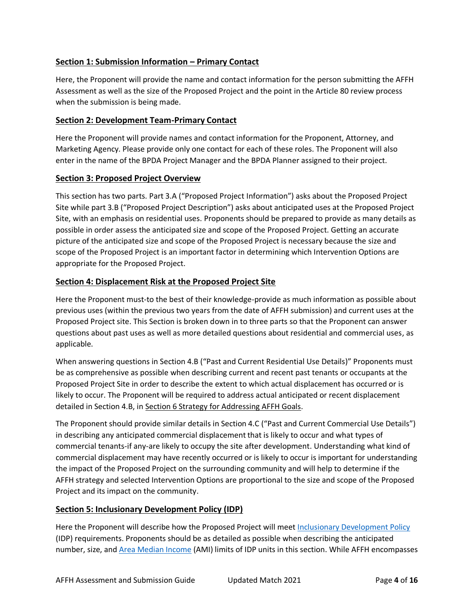#### **Section 1: Submission Information – Primary Contact**

Here, the Proponent will provide the name and contact information for the person submitting the AFFH Assessment as well as the size of the Proposed Project and the point in the Article 80 review process when the submission is being made.

#### **Section 2: Development Team-Primary Contact**

Here the Proponent will provide names and contact information for the Proponent, Attorney, and Marketing Agency. Please provide only one contact for each of these roles. The Proponent will also enter in the name of the BPDA Project Manager and the BPDA Planner assigned to their project.

#### **Section 3: Proposed Project Overview**

This section has two parts. Part 3.A ("Proposed Project Information") asks about the Proposed Project Site while part 3.B ("Proposed Project Description") asks about anticipated uses at the Proposed Project Site, with an emphasis on residential uses. Proponents should be prepared to provide as many details as possible in order assess the anticipated size and scope of the Proposed Project. Getting an accurate picture of the anticipated size and scope of the Proposed Project is necessary because the size and scope of the Proposed Project is an important factor in determining which Intervention Options are appropriate for the Proposed Project.

#### **Section 4: Displacement Risk at the Proposed Project Site**

Here the Proponent must-to the best of their knowledge-provide as much information as possible about previous uses (within the previous two years from the date of AFFH submission) and current uses at the Proposed Project site. This Section is broken down in to three parts so that the Proponent can answer questions about past uses as well as more detailed questions about residential and commercial uses, as applicable.

When answering questions in Section 4.B ("Past and Current Residential Use Details)" Proponents must be as comprehensive as possible when describing current and recent past tenants or occupants at the Proposed Project Site in order to describe the extent to which actual displacement has occurred or is likely to occur. The Proponent will be required to address actual anticipated or recent displacement detailed in Section 4.B, in Section 6 Strategy for Addressing AFFH Goals.

The Proponent should provide similar details in Section 4.C ("Past and Current Commercial Use Details") in describing any anticipated commercial displacement that is likely to occur and what types of commercial tenants-if any-are likely to occupy the site after development. Understanding what kind of commercial displacement may have recently occurred or is likely to occur is important for understanding the impact of the Proposed Project on the surrounding community and will help to determine if the AFFH strategy and selected Intervention Options are proportional to the size and scope of the Proposed Project and its impact on the community.

#### **Section 5: Inclusionary Development Policy (IDP)**

Here the Proponent will describe how the Proposed Project will meet [Inclusionary Development Policy](http://www.bostonplans.org/getattachment/91c30f77-6836-43f9-85b9-f0ad73df9f7c) (IDP) requirements. Proponents should be as detailed as possible when describing the anticipated number, size, and [Area Median Income](http://www.bostonplans.org/housing/income,-asset,-and-price-limits) (AMI) limits of IDP units in this section. While AFFH encompasses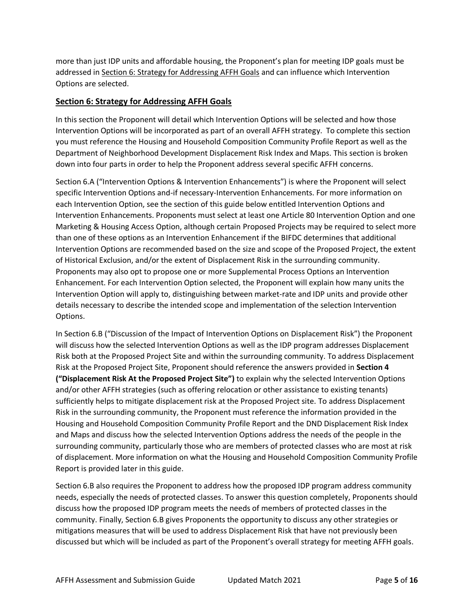more than just IDP units and affordable housing, the Proponent's plan for meeting IDP goals must be addressed in Section 6: Strategy for Addressing AFFH Goals and can influence which Intervention Options are selected.

#### **Section 6: Strategy for Addressing AFFH Goals**

In this section the Proponent will detail which Intervention Options will be selected and how those Intervention Options will be incorporated as part of an overall AFFH strategy. To complete this section you must reference the Housing and Household Composition Community Profile Report as well as the Department of Neighborhood Development Displacement Risk Index and Maps. This section is broken down into four parts in order to help the Proponent address several specific AFFH concerns.

Section 6.A ("Intervention Options & Intervention Enhancements") is where the Proponent will select specific Intervention Options and-if necessary-Intervention Enhancements. For more information on each Intervention Option, see the section of this guide below entitled Intervention Options and Intervention Enhancements. Proponents must select at least one Article 80 Intervention Option and one Marketing & Housing Access Option, although certain Proposed Projects may be required to select more than one of these options as an Intervention Enhancement if the BIFDC determines that additional Intervention Options are recommended based on the size and scope of the Proposed Project, the extent of Historical Exclusion, and/or the extent of Displacement Risk in the surrounding community. Proponents may also opt to propose one or more Supplemental Process Options an Intervention Enhancement. For each Intervention Option selected, the Proponent will explain how many units the Intervention Option will apply to, distinguishing between market-rate and IDP units and provide other details necessary to describe the intended scope and implementation of the selection Intervention Options.

In Section 6.B ("Discussion of the Impact of Intervention Options on Displacement Risk") the Proponent will discuss how the selected Intervention Options as well as the IDP program addresses Displacement Risk both at the Proposed Project Site and within the surrounding community. To address Displacement Risk at the Proposed Project Site, Proponent should reference the answers provided in **Section 4 ("Displacement Risk At the Proposed Project Site")** to explain why the selected Intervention Options and/or other AFFH strategies (such as offering relocation or other assistance to existing tenants) sufficiently helps to mitigate displacement risk at the Proposed Project site. To address Displacement Risk in the surrounding community, the Proponent must reference the information provided in the Housing and Household Composition Community Profile Report and the DND Displacement Risk Index and Maps and discuss how the selected Intervention Options address the needs of the people in the surrounding community, particularly those who are members of protected classes who are most at risk of displacement. More information on what the Housing and Household Composition Community Profile Report is provided later in this guide.

Section 6.B also requires the Proponent to address how the proposed IDP program address community needs, especially the needs of protected classes. To answer this question completely, Proponents should discuss how the proposed IDP program meets the needs of members of protected classes in the community. Finally, Section 6.B gives Proponents the opportunity to discuss any other strategies or mitigations measures that will be used to address Displacement Risk that have not previously been discussed but which will be included as part of the Proponent's overall strategy for meeting AFFH goals.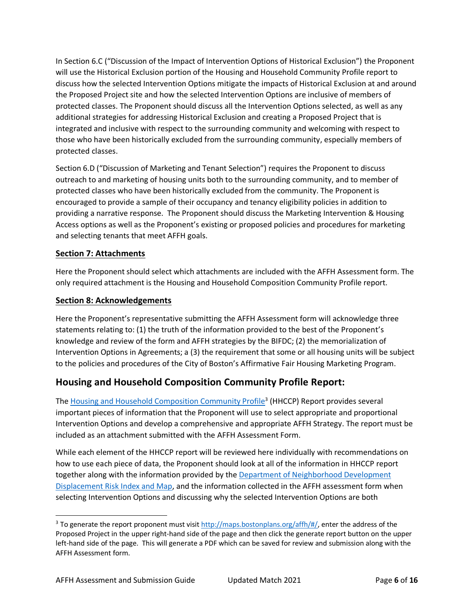In Section 6.C ("Discussion of the Impact of Intervention Options of Historical Exclusion") the Proponent will use the Historical Exclusion portion of the Housing and Household Community Profile report to discuss how the selected Intervention Options mitigate the impacts of Historical Exclusion at and around the Proposed Project site and how the selected Intervention Options are inclusive of members of protected classes. The Proponent should discuss all the Intervention Options selected, as well as any additional strategies for addressing Historical Exclusion and creating a Proposed Project that is integrated and inclusive with respect to the surrounding community and welcoming with respect to those who have been historically excluded from the surrounding community, especially members of protected classes.

Section 6.D ("Discussion of Marketing and Tenant Selection") requires the Proponent to discuss outreach to and marketing of housing units both to the surrounding community, and to member of protected classes who have been historically excluded from the community. The Proponent is encouraged to provide a sample of their occupancy and tenancy eligibility policies in addition to providing a narrative response. The Proponent should discuss the Marketing Intervention & Housing Access options as well as the Proponent's existing or proposed policies and procedures for marketing and selecting tenants that meet AFFH goals.

#### **Section 7: Attachments**

Here the Proponent should select which attachments are included with the AFFH Assessment form. The only required attachment is the Housing and Household Composition Community Profile report.

#### **Section 8: Acknowledgements**

Here the Proponent's representative submitting the AFFH Assessment form will acknowledge three statements relating to: (1) the truth of the information provided to the best of the Proponent's knowledge and review of the form and AFFH strategies by the BIFDC; (2) the memorialization of Intervention Options in Agreements; a (3) the requirement that some or all housing units will be subject to the policies and procedures of the City of Boston's Affirmative Fair Housing Marketing Program.

## **Housing and Household Composition Community Profile Report:**

The [Housing and Household Composition Community Profile](http://maps.bostonplans.org/affh/#/)<sup>3</sup> (HHCCP) Report provides several important pieces of information that the Proponent will use to select appropriate and proportional Intervention Options and develop a comprehensive and appropriate AFFH Strategy. The report must be included as an attachment submitted with the AFFH Assessment Form.

While each element of the HHCCP report will be reviewed here individually with recommendations on how to use each piece of data, the Proponent should look at all of the information in HHCCP report together along with the information provided by the [Department of Neighborhood Development](https://www.boston.gov/sites/default/files/file/2021/03/Boston%20Displacement%20Risk%20Map%202020_%20Summary%20Sheet.pdf) [Displacement Risk Index and Map,](https://www.boston.gov/sites/default/files/file/2021/03/Boston%20Displacement%20Risk%20Map%202020_%20Summary%20Sheet.pdf) and the information collected in the AFFH assessment form when selecting Intervention Options and discussing why the selected Intervention Options are both

 $3$  To generate the report proponent must visi[t http://maps.bostonplans.org/affh/#/,](http://maps.bostonplans.org/affh/#/) enter the address of the Proposed Project in the upper right-hand side of the page and then click the generate report button on the upper left-hand side of the page. This will generate a PDF which can be saved for review and submission along with the AFFH Assessment form.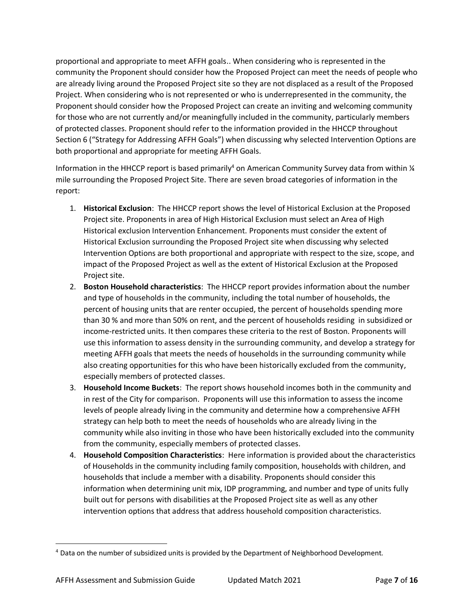proportional and appropriate to meet AFFH goals.. When considering who is represented in the community the Proponent should consider how the Proposed Project can meet the needs of people who are already living around the Proposed Project site so they are not displaced as a result of the Proposed Project. When considering who is not represented or who is underrepresented in the community, the Proponent should consider how the Proposed Project can create an inviting and welcoming community for those who are not currently and/or meaningfully included in the community, particularly members of protected classes. Proponent should refer to the information provided in the HHCCP throughout Section 6 ("Strategy for Addressing AFFH Goals") when discussing why selected Intervention Options are both proportional and appropriate for meeting AFFH Goals.

Information in the HHCCP report is based primarily<sup>4</sup> on American Community Survey data from within  $\frac{1}{4}$ mile surrounding the Proposed Project Site. There are seven broad categories of information in the report:

- 1. **Historical Exclusion**: The HHCCP report shows the level of Historical Exclusion at the Proposed Project site. Proponents in area of High Historical Exclusion must select an Area of High Historical exclusion Intervention Enhancement. Proponents must consider the extent of Historical Exclusion surrounding the Proposed Project site when discussing why selected Intervention Options are both proportional and appropriate with respect to the size, scope, and impact of the Proposed Project as well as the extent of Historical Exclusion at the Proposed Project site.
- 2. **Boston Household characteristics**: The HHCCP report provides information about the number and type of households in the community, including the total number of households, the percent of housing units that are renter occupied, the percent of households spending more than 30 % and more than 50% on rent, and the percent of households residing in subsidized or income-restricted units. It then compares these criteria to the rest of Boston. Proponents will use this information to assess density in the surrounding community, and develop a strategy for meeting AFFH goals that meets the needs of households in the surrounding community while also creating opportunities for this who have been historically excluded from the community, especially members of protected classes.
- 3. **Household Income Buckets**: The report shows household incomes both in the community and in rest of the City for comparison. Proponents will use this information to assess the income levels of people already living in the community and determine how a comprehensive AFFH strategy can help both to meet the needs of households who are already living in the community while also inviting in those who have been historically excluded into the community from the community, especially members of protected classes.
- 4. **Household Composition Characteristics**: Here information is provided about the characteristics of Households in the community including family composition, households with children, and households that include a member with a disability. Proponents should consider this information when determining unit mix, IDP programming, and number and type of units fully built out for persons with disabilities at the Proposed Project site as well as any other intervention options that address that address household composition characteristics.

<sup>4</sup> Data on the number of subsidized units is provided by the Department of Neighborhood Development.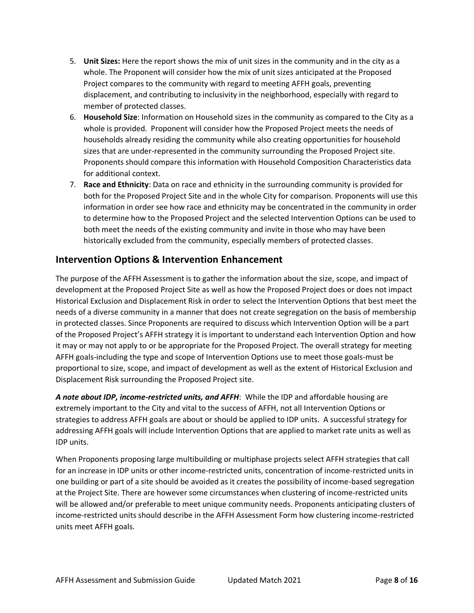- 5. **Unit Sizes:** Here the report shows the mix of unit sizes in the community and in the city as a whole. The Proponent will consider how the mix of unit sizes anticipated at the Proposed Project compares to the community with regard to meeting AFFH goals, preventing displacement, and contributing to inclusivity in the neighborhood, especially with regard to member of protected classes.
- 6. **Household Size**: Information on Household sizes in the community as compared to the City as a whole is provided. Proponent will consider how the Proposed Project meets the needs of households already residing the community while also creating opportunities for household sizes that are under-represented in the community surrounding the Proposed Project site. Proponents should compare this information with Household Composition Characteristics data for additional context.
- 7. **Race and Ethnicity**: Data on race and ethnicity in the surrounding community is provided for both for the Proposed Project Site and in the whole City for comparison. Proponents will use this information in order see how race and ethnicity may be concentrated in the community in order to determine how to the Proposed Project and the selected Intervention Options can be used to both meet the needs of the existing community and invite in those who may have been historically excluded from the community, especially members of protected classes.

## **Intervention Options & Intervention Enhancement**

The purpose of the AFFH Assessment is to gather the information about the size, scope, and impact of development at the Proposed Project Site as well as how the Proposed Project does or does not impact Historical Exclusion and Displacement Risk in order to select the Intervention Options that best meet the needs of a diverse community in a manner that does not create segregation on the basis of membership in protected classes. Since Proponents are required to discuss which Intervention Option will be a part of the Proposed Project's AFFH strategy it is important to understand each Intervention Option and how it may or may not apply to or be appropriate for the Proposed Project. The overall strategy for meeting AFFH goals-including the type and scope of Intervention Options use to meet those goals-must be proportional to size, scope, and impact of development as well as the extent of Historical Exclusion and Displacement Risk surrounding the Proposed Project site.

*A note about IDP, income-restricted units, and AFFH*: While the IDP and affordable housing are extremely important to the City and vital to the success of AFFH, not all Intervention Options or strategies to address AFFH goals are about or should be applied to IDP units. A successful strategy for addressing AFFH goals will include Intervention Options that are applied to market rate units as well as IDP units.

When Proponents proposing large multibuilding or multiphase projects select AFFH strategies that call for an increase in IDP units or other income-restricted units, concentration of income-restricted units in one building or part of a site should be avoided as it creates the possibility of income-based segregation at the Project Site. There are however some circumstances when clustering of income-restricted units will be allowed and/or preferable to meet unique community needs. Proponents anticipating clusters of income-restricted units should describe in the AFFH Assessment Form how clustering income-restricted units meet AFFH goals.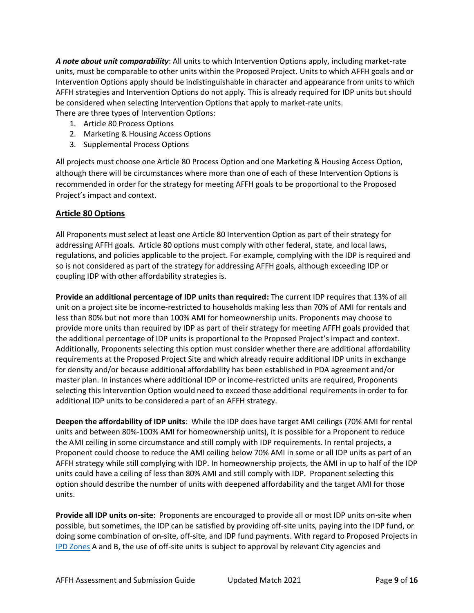*A note about unit comparability*: All units to which Intervention Options apply, including market-rate units, must be comparable to other units within the Proposed Project. Units to which AFFH goals and or Intervention Options apply should be indistinguishable in character and appearance from units to which AFFH strategies and Intervention Options do not apply. This is already required for IDP units but should be considered when selecting Intervention Options that apply to market-rate units. There are three types of Intervention Options:

- 1. Article 80 Process Options
- 2. Marketing & Housing Access Options
- 3. Supplemental Process Options

All projects must choose one Article 80 Process Option and one Marketing & Housing Access Option, although there will be circumstances where more than one of each of these Intervention Options is recommended in order for the strategy for meeting AFFH goals to be proportional to the Proposed Project's impact and context.

#### **Article 80 Options**

All Proponents must select at least one Article 80 Intervention Option as part of their strategy for addressing AFFH goals. Article 80 options must comply with other federal, state, and local laws, regulations, and policies applicable to the project. For example, complying with the IDP is required and so is not considered as part of the strategy for addressing AFFH goals, although exceeding IDP or coupling IDP with other affordability strategies is.

**Provide an additional percentage of IDP units than required:** The current IDP requires that 13% of all unit on a project site be income-restricted to households making less than 70% of AMI for rentals and less than 80% but not more than 100% AMI for homeownership units. Proponents may choose to provide more units than required by IDP as part of their strategy for meeting AFFH goals provided that the additional percentage of IDP units is proportional to the Proposed Project's impact and context. Additionally, Proponents selecting this option must consider whether there are additional affordability requirements at the Proposed Project Site and which already require additional IDP units in exchange for density and/or because additional affordability has been established in PDA agreement and/or master plan. In instances where additional IDP or income-restricted units are required, Proponents selecting this Intervention Option would need to exceed those additional requirements in order to for additional IDP units to be considered a part of an AFFH strategy.

**Deepen the affordability of IDP units**: While the IDP does have target AMI ceilings (70% AMI for rental units and between 80%-100% AMI for homeownership units), it is possible for a Proponent to reduce the AMI ceiling in some circumstance and still comply with IDP requirements. In rental projects, a Proponent could choose to reduce the AMI ceiling below 70% AMI in some or all IDP units as part of an AFFH strategy while still complying with IDP. In homeownership projects, the AMI in up to half of the IDP units could have a ceiling of less than 80% AMI and still comply with IDP. Proponent selecting this option should describe the number of units with deepened affordability and the target AMI for those units.

**Provide all IDP units on-site**: Proponents are encouraged to provide all or most IDP units on-site when possible, but sometimes, the IDP can be satisfied by providing off-site units, paying into the IDP fund, or doing some combination of on-site, off-site, and IDP fund payments. With regard to Proposed Projects in [IPD Zones](http://www.bostonplans.org/getattachment/d4e05875-9c82-4d23-adbb-417a12da4ceb) A and B, the use of off-site units is subject to approval by relevant City agencies and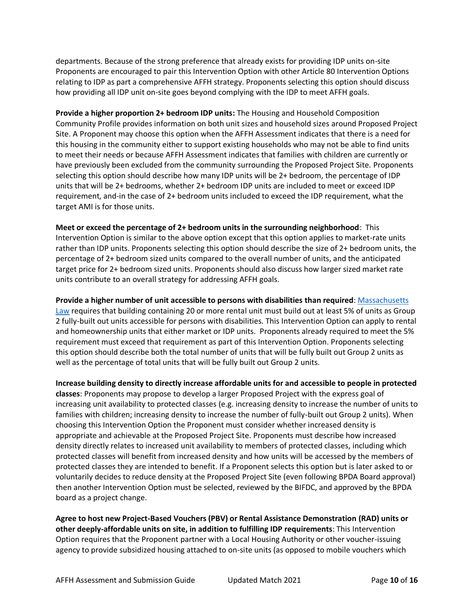departments. Because of the strong preference that already exists for providing IDP units on-site Proponents are encouraged to pair this Intervention Option with other Article 80 Intervention Options relating to IDP as part a comprehensive AFFH strategy. Proponents selecting this option should discuss how providing all IDP unit on-site goes beyond complying with the IDP to meet AFFH goals.

**Provide a higher proportion 2+ bedroom IDP units:** The Housing and Household Composition Community Profile provides information on both unit sizes and household sizes around Proposed Project Site. A Proponent may choose this option when the AFFH Assessment indicates that there is a need for this housing in the community either to support existing households who may not be able to find units to meet their needs or because AFFH Assessment indicates that families with children are currently or have previously been excluded from the community surrounding the Proposed Project Site. Proponents selecting this option should describe how many IDP units will be 2+ bedroom, the percentage of IDP units that will be 2+ bedrooms, whether 2+ bedroom IDP units are included to meet or exceed IDP requirement, and-in the case of 2+ bedroom units included to exceed the IDP requirement, what the target AMI is for those units.

**Meet or exceed the percentage of 2+ bedroom units in the surrounding neighborhood**: This Intervention Option is similar to the above option except that this option applies to market-rate units rather than IDP units. Proponents selecting this option should describe the size of 2+ bedroom units, the percentage of 2+ bedroom sized units compared to the overall number of units, and the anticipated target price for 2+ bedroom sized units. Proponents should also discuss how larger sized market rate units contribute to an overall strategy for addressing AFFH goals.

**Provide a higher number of unit accessible to persons with disabilities than required**: [Massachusetts](https://www.mass.gov/doc/521-cmr-900-multiple-dwellings/download)  [Law](https://www.mass.gov/doc/521-cmr-900-multiple-dwellings/download) requires that building containing 20 or more rental unit must build out at least 5% of units as Group 2 fully-built out units accessible for persons with disabilities. This Intervention Option can apply to rental and homeownership units that either market or IDP units. Proponents already required to meet the 5% requirement must exceed that requirement as part of this Intervention Option. Proponents selecting this option should describe both the total number of units that will be fully built out Group 2 units as well as the percentage of total units that will be fully built out Group 2 units.

**Increase building density to directly increase affordable units for and accessible to people in protected classes**: Proponents may propose to develop a larger Proposed Project with the express goal of increasing unit availability to protected classes (e.g. increasing density to increase the number of units to families with children; increasing density to increase the number of fully-built out Group 2 units). When choosing this Intervention Option the Proponent must consider whether increased density is appropriate and achievable at the Proposed Project Site. Proponents must describe how increased density directly relates to increased unit availability to members of protected classes, including which protected classes will benefit from increased density and how units will be accessed by the members of protected classes they are intended to benefit. If a Proponent selects this option but is later asked to or voluntarily decides to reduce density at the Proposed Project Site (even following BPDA Board approval) then another Intervention Option must be selected, reviewed by the BIFDC, and approved by the BPDA board as a project change.

**Agree to host new Project-Based Vouchers (PBV) or Rental Assistance Demonstration (RAD) units or other deeply-affordable units on site, in addition to fulfilling IDP requirements**: This Intervention Option requires that the Proponent partner with a Local Housing Authority or other voucher-issuing agency to provide subsidized housing attached to on-site units (as opposed to mobile vouchers which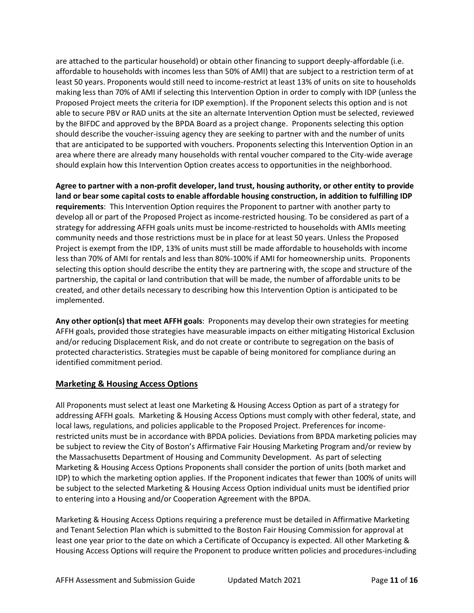are attached to the particular household) or obtain other financing to support deeply-affordable (i.e. affordable to households with incomes less than 50% of AMI) that are subject to a restriction term of at least 50 years. Proponents would still need to income-restrict at least 13% of units on site to households making less than 70% of AMI if selecting this Intervention Option in order to comply with IDP (unless the Proposed Project meets the criteria for IDP exemption). If the Proponent selects this option and is not able to secure PBV or RAD units at the site an alternate Intervention Option must be selected, reviewed by the BIFDC and approved by the BPDA Board as a project change. Proponents selecting this option should describe the voucher-issuing agency they are seeking to partner with and the number of units that are anticipated to be supported with vouchers. Proponents selecting this Intervention Option in an area where there are already many households with rental voucher compared to the City-wide average should explain how this Intervention Option creates access to opportunities in the neighborhood.

**Agree to partner with a non-profit developer, land trust, housing authority, or other entity to provide land or bear some capital costs to enable affordable housing construction, in addition to fulfilling IDP requirements**: This Intervention Option requires the Proponent to partner with another party to develop all or part of the Proposed Project as income-restricted housing. To be considered as part of a strategy for addressing AFFH goals units must be income-restricted to households with AMIs meeting community needs and those restrictions must be in place for at least 50 years. Unless the Proposed Project is exempt from the IDP, 13% of units must still be made affordable to households with income less than 70% of AMI for rentals and less than 80%-100% if AMI for homeownership units. Proponents selecting this option should describe the entity they are partnering with, the scope and structure of the partnership, the capital or land contribution that will be made, the number of affordable units to be created, and other details necessary to describing how this Intervention Option is anticipated to be implemented.

**Any other option(s) that meet AFFH goals**: Proponents may develop their own strategies for meeting AFFH goals, provided those strategies have measurable impacts on either mitigating Historical Exclusion and/or reducing Displacement Risk, and do not create or contribute to segregation on the basis of protected characteristics. Strategies must be capable of being monitored for compliance during an identified commitment period.

#### **Marketing & Housing Access Options**

All Proponents must select at least one Marketing & Housing Access Option as part of a strategy for addressing AFFH goals. Marketing & Housing Access Options must comply with other federal, state, and local laws, regulations, and policies applicable to the Proposed Project. Preferences for incomerestricted units must be in accordance with BPDA policies. Deviations from BPDA marketing policies may be subject to review the City of Boston's Affirmative Fair Housing Marketing Program and/or review by the Massachusetts Department of Housing and Community Development. As part of selecting Marketing & Housing Access Options Proponents shall consider the portion of units (both market and IDP) to which the marketing option applies. If the Proponent indicates that fewer than 100% of units will be subject to the selected Marketing & Housing Access Option individual units must be identified prior to entering into a Housing and/or Cooperation Agreement with the BPDA.

Marketing & Housing Access Options requiring a preference must be detailed in Affirmative Marketing and Tenant Selection Plan which is submitted to the Boston Fair Housing Commission for approval at least one year prior to the date on which a Certificate of Occupancy is expected. All other Marketing & Housing Access Options will require the Proponent to produce written policies and procedures-including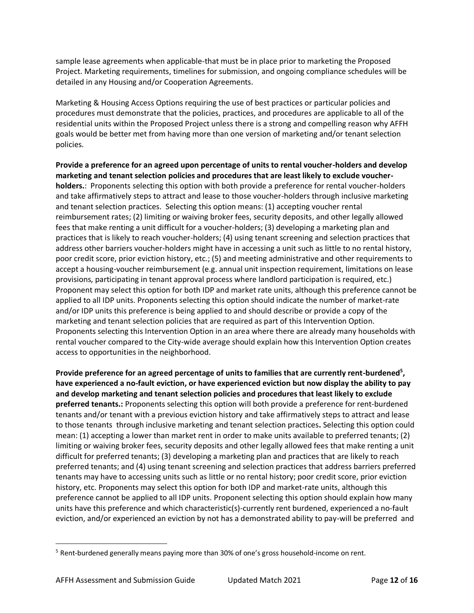sample lease agreements when applicable-that must be in place prior to marketing the Proposed Project. Marketing requirements, timelines for submission, and ongoing compliance schedules will be detailed in any Housing and/or Cooperation Agreements.

Marketing & Housing Access Options requiring the use of best practices or particular policies and procedures must demonstrate that the policies, practices, and procedures are applicable to all of the residential units within the Proposed Project unless there is a strong and compelling reason why AFFH goals would be better met from having more than one version of marketing and/or tenant selection policies.

**Provide a preference for an agreed upon percentage of units to rental voucher-holders and develop marketing and tenant selection policies and procedures that are least likely to exclude voucherholders.**: Proponents selecting this option with both provide a preference for rental voucher-holders and take affirmatively steps to attract and lease to those voucher-holders through inclusive marketing and tenant selection practices. Selecting this option means: (1) accepting voucher rental reimbursement rates; (2) limiting or waiving broker fees, security deposits, and other legally allowed fees that make renting a unit difficult for a voucher-holders; (3) developing a marketing plan and practices that is likely to reach voucher-holders; (4) using tenant screening and selection practices that address other barriers voucher-holders might have in accessing a unit such as little to no rental history, poor credit score, prior eviction history, etc.; (5) and meeting administrative and other requirements to accept a housing-voucher reimbursement (e.g. annual unit inspection requirement, limitations on lease provisions, participating in tenant approval process where landlord participation is required, etc.) Proponent may select this option for both IDP and market rate units, although this preference cannot be applied to all IDP units. Proponents selecting this option should indicate the number of market-rate and/or IDP units this preference is being applied to and should describe or provide a copy of the marketing and tenant selection policies that are required as part of this Intervention Option. Proponents selecting this Intervention Option in an area where there are already many households with rental voucher compared to the City-wide average should explain how this Intervention Option creates access to opportunities in the neighborhood.

**Provide preference for an agreed percentage of units to families that are currently rent-burdened<sup>5</sup> , have experienced a no-fault eviction, or have experienced eviction but now display the ability to pay and develop marketing and tenant selection policies and procedures that least likely to exclude preferred tenants.:** Proponents selecting this option will both provide a preference for rent-burdened tenants and/or tenant with a previous eviction history and take affirmatively steps to attract and lease to those tenants through inclusive marketing and tenant selection practices**.** Selecting this option could mean: (1) accepting a lower than market rent in order to make units available to preferred tenants; (2) limiting or waiving broker fees, security deposits and other legally allowed fees that make renting a unit difficult for preferred tenants; (3) developing a marketing plan and practices that are likely to reach preferred tenants; and (4) using tenant screening and selection practices that address barriers preferred tenants may have to accessing units such as little or no rental history; poor credit score, prior eviction history, etc. Proponents may select this option for both IDP and market-rate units, although this preference cannot be applied to all IDP units. Proponent selecting this option should explain how many units have this preference and which characteristic(s)-currently rent burdened, experienced a no-fault eviction, and/or experienced an eviction by not has a demonstrated ability to pay-will be preferred and

<sup>&</sup>lt;sup>5</sup> Rent-burdened generally means paying more than 30% of one's gross household-income on rent.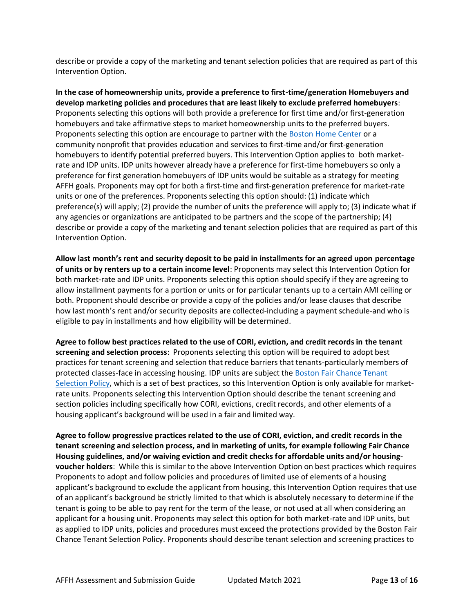describe or provide a copy of the marketing and tenant selection policies that are required as part of this Intervention Option.

**In the case of homeownership units, provide a preference to first-time/generation Homebuyers and develop marketing policies and procedures that are least likely to exclude preferred homebuyers**: Proponents selecting this options will both provide a preference for first time and/or first-generation homebuyers and take affirmative steps to market homeownership units to the preferred buyers. Proponents selecting this option are encourage to partner with the [Boston Home Center](https://www.boston.gov/departments/neighborhood-development/boston-home-center) or a community nonprofit that provides education and services to first-time and/or first-generation homebuyers to identify potential preferred buyers. This Intervention Option applies to both marketrate and IDP units. IDP units however already have a preference for first-time homebuyers so only a preference for first generation homebuyers of IDP units would be suitable as a strategy for meeting AFFH goals. Proponents may opt for both a first-time and first-generation preference for market-rate units or one of the preferences. Proponents selecting this option should: (1) indicate which preference(s) will apply; (2) provide the number of units the preference will apply to; (3) indicate what if any agencies or organizations are anticipated to be partners and the scope of the partnership; (4) describe or provide a copy of the marketing and tenant selection policies that are required as part of this Intervention Option.

**Allow last month's rent and security deposit to be paid in installments for an agreed upon percentage of units or by renters up to a certain income level**: Proponents may select this Intervention Option for both market-rate and IDP units. Proponents selecting this option should specify if they are agreeing to allow installment payments for a portion or units or for particular tenants up to a certain AMI ceiling or both. Proponent should describe or provide a copy of the policies and/or lease clauses that describe how last month's rent and/or security deposits are collected-including a payment schedule-and who is eligible to pay in installments and how eligibility will be determined.

**Agree to follow best practices related to the use of CORI, eviction, and credit records in the tenant screening and selection process**: Proponents selecting this option will be required to adopt best practices for tenant screening and selection that reduce barriers that tenants-particularly members of protected classes-face in accessing housing. IDP units are subject the [Boston Fair Chance Tenant](https://www.chapa.org/sites/default/files/Boston%20Fair%20Chance%20Ordinance_February%202017.pdf)  [Selection Policy,](https://www.chapa.org/sites/default/files/Boston%20Fair%20Chance%20Ordinance_February%202017.pdf) which is a set of best practices, so this Intervention Option is only available for marketrate units. Proponents selecting this Intervention Option should describe the tenant screening and section policies including specifically how CORI, evictions, credit records, and other elements of a housing applicant's background will be used in a fair and limited way.

**Agree to follow progressive practices related to the use of CORI, eviction, and credit records in the tenant screening and selection process, and in marketing of units, for example following Fair Chance Housing guidelines, and/or waiving eviction and credit checks for affordable units and/or housingvoucher holders**: While this is similar to the above Intervention Option on best practices which requires Proponents to adopt and follow policies and procedures of limited use of elements of a housing applicant's background to exclude the applicant from housing, this Intervention Option requires that use of an applicant's background be strictly limited to that which is absolutely necessary to determine if the tenant is going to be able to pay rent for the term of the lease, or not used at all when considering an applicant for a housing unit. Proponents may select this option for both market-rate and IDP units, but as applied to IDP units, policies and procedures must exceed the protections provided by the Boston Fair Chance Tenant Selection Policy. Proponents should describe tenant selection and screening practices to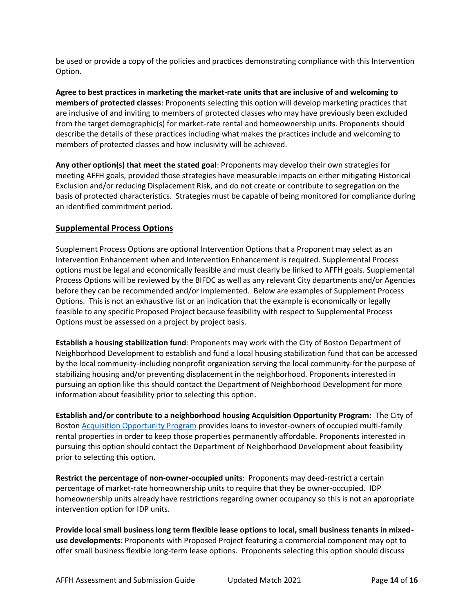be used or provide a copy of the policies and practices demonstrating compliance with this Intervention Option.

**Agree to best practices in marketing the market-rate units that are inclusive of and welcoming to members of protected classes**: Proponents selecting this option will develop marketing practices that are inclusive of and inviting to members of protected classes who may have previously been excluded from the target demographic(s) for market-rate rental and homeownership units. Proponents should describe the details of these practices including what makes the practices include and welcoming to members of protected classes and how inclusivity will be achieved.

**Any other option(s) that meet the stated goal**: Proponents may develop their own strategies for meeting AFFH goals, provided those strategies have measurable impacts on either mitigating Historical Exclusion and/or reducing Displacement Risk, and do not create or contribute to segregation on the basis of protected characteristics. Strategies must be capable of being monitored for compliance during an identified commitment period.

#### **Supplemental Process Options**

Supplement Process Options are optional Intervention Options that a Proponent may select as an Intervention Enhancement when and Intervention Enhancement is required. Supplemental Process options must be legal and economically feasible and must clearly be linked to AFFH goals. Supplemental Process Options will be reviewed by the BIFDC as well as any relevant City departments and/or Agencies before they can be recommended and/or implemented. Below are examples of Supplement Process Options. This is not an exhaustive list or an indication that the example is economically or legally feasible to any specific Proposed Project because feasibility with respect to Supplemental Process Options must be assessed on a project by project basis.

**Establish a housing stabilization fund**: Proponents may work with the City of Boston Department of Neighborhood Development to establish and fund a local housing stabilization fund that can be accessed by the local community-including nonprofit organization serving the local community-for the purpose of stabilizing housing and/or preventing displacement in the neighborhood. Proponents interested in pursuing an option like this should contact the Department of Neighborhood Development for more information about feasibility prior to selecting this option.

**Establish and/or contribute to a neighborhood housing Acquisition Opportunity Program:** The City of Boston [Acquisition Opportunity Program](https://www.boston.gov/housing/acquisition-opportunity-program) provides loans to investor-owners of occupied multi-family rental properties in order to keep those properties permanently affordable. Proponents interested in pursuing this option should contact the Department of Neighborhood Development about feasibility prior to selecting this option.

**Restrict the percentage of non-owner-occupied units**: Proponents may deed-restrict a certain percentage of market-rate homeownership units to require that they be owner-occupied. IDP homeownership units already have restrictions regarding owner occupancy so this is not an appropriate intervention option for IDP units.

**Provide local small business long term flexible lease options to local, small business tenants in mixeduse developments**: Proponents with Proposed Project featuring a commercial component may opt to offer small business flexible long-term lease options. Proponents selecting this option should discuss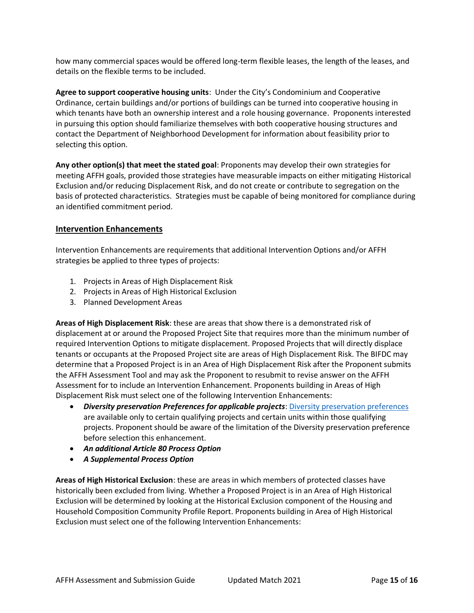how many commercial spaces would be offered long-term flexible leases, the length of the leases, and details on the flexible terms to be included.

**Agree to support cooperative housing units**: Under the City's Condominium and Cooperative Ordinance, certain buildings and/or portions of buildings can be turned into cooperative housing in which tenants have both an ownership interest and a role housing governance. Proponents interested in pursuing this option should familiarize themselves with both cooperative housing structures and contact the Department of Neighborhood Development for information about feasibility prior to selecting this option.

**Any other option(s) that meet the stated goal**: Proponents may develop their own strategies for meeting AFFH goals, provided those strategies have measurable impacts on either mitigating Historical Exclusion and/or reducing Displacement Risk, and do not create or contribute to segregation on the basis of protected characteristics. Strategies must be capable of being monitored for compliance during an identified commitment period.

#### **Intervention Enhancements**

Intervention Enhancements are requirements that additional Intervention Options and/or AFFH strategies be applied to three types of projects:

- 1. Projects in Areas of High Displacement Risk
- 2. Projects in Areas of High Historical Exclusion
- 3. Planned Development Areas

**Areas of High Displacement Risk**: these are areas that show there is a demonstrated risk of displacement at or around the Proposed Project Site that requires more than the minimum number of required Intervention Options to mitigate displacement. Proposed Projects that will directly displace tenants or occupants at the Proposed Project site are areas of High Displacement Risk. The BIFDC may determine that a Proposed Project is in an Area of High Displacement Risk after the Proponent submits the AFFH Assessment Tool and may ask the Proponent to resubmit to revise answer on the AFFH Assessment for to include an Intervention Enhancement. Proponents building in Areas of High Displacement Risk must select one of the following Intervention Enhancements:

- *Diversity preservation Preferences for applicable projects*[: Diversity preservation preferences](http://www.bostonplans.org/getattachment/6b9d0f4d-46da-404a-9994-2c45b2e6d4b5) are available only to certain qualifying projects and certain units within those qualifying projects. Proponent should be aware of the limitation of the Diversity preservation preference before selection this enhancement.
- *An additional Article 80 Process Option*
- *A Supplemental Process Option*

**Areas of High Historical Exclusion**: these are areas in which members of protected classes have historically been excluded from living. Whether a Proposed Project is in an Area of High Historical Exclusion will be determined by looking at the Historical Exclusion component of the Housing and Household Composition Community Profile Report. Proponents building in Area of High Historical Exclusion must select one of the following Intervention Enhancements: